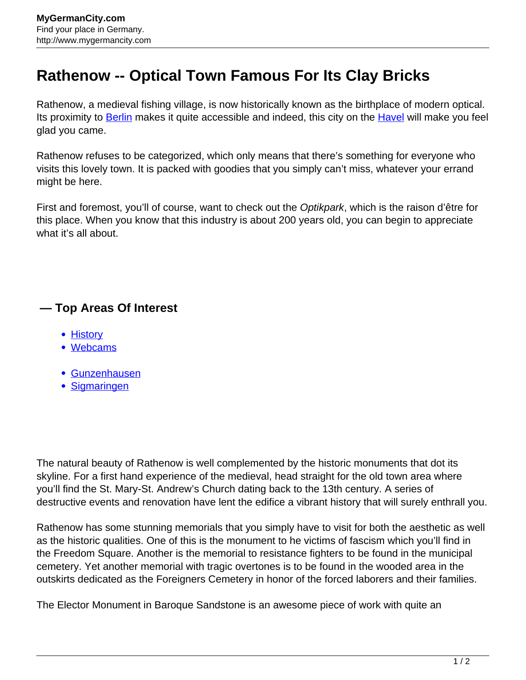## **Rathenow -- Optical Town Famous For Its Clay Bricks**

Rathenow, a medieval fishing village, is now historically known as the birthplace of modern optical. Its proximity to **Berlin** makes it quite accessible and indeed, this city on the **Havel** will make you feel glad you came.

Rathenow refuses to be categorized, which only means that there's something for everyone who visits this lovely town. It is packed with goodies that you simply can't miss, whatever your errand might be here.

First and foremost, you'll of course, want to check out the Optikpark, which is the raison d'être for this place. When you know that this industry is about 200 years old, you can begin to appreciate what it's all about.

## **— Top Areas Of Interest**

- [History](http://www.mygermancity.com/leipzig-history)
- [Webcams](http://www.mygermancity.com/neustadt-holstein-webcams)
- [Gunzenhausen](http://www.mygermancity.com/gunzenhausen)
- [Sigmaringen](http://www.mygermancity.com/sigmaringen)

The natural beauty of Rathenow is well complemented by the historic monuments that dot its skyline. For a first hand experience of the medieval, head straight for the old town area where you'll find the St. Mary-St. Andrew's Church dating back to the 13th century. A series of destructive events and renovation have lent the edifice a vibrant history that will surely enthrall you.

Rathenow has some stunning memorials that you simply have to visit for both the aesthetic as well as the historic qualities. One of this is the monument to he victims of fascism which you'll find in the Freedom Square. Another is the memorial to resistance fighters to be found in the municipal cemetery. Yet another memorial with tragic overtones is to be found in the wooded area in the outskirts dedicated as the Foreigners Cemetery in honor of the forced laborers and their families.

The Elector Monument in Baroque Sandstone is an awesome piece of work with quite an